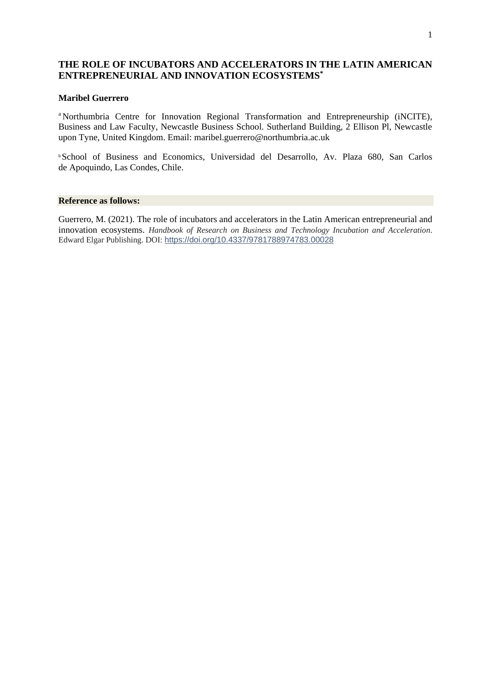# **THE ROLE OF INCUBATORS AND ACCELERATORS IN THE LATIN AMERICAN ENTREPRENEURIAL AND INNOVATION ECOSYSTEMS\***

#### **Maribel Guerrero**

<sup>a</sup> Northumbria Centre for Innovation Regional Transformation and Entrepreneurship (iNCITE), Business and Law Faculty, Newcastle Business School. Sutherland Building, 2 Ellison Pl, Newcastle upon Tyne, United Kingdom. Email: [maribel.guerrero@northumbria.ac.uk](mailto:maribel.guerrero@northumbria.ac.uk) 

<sup>b</sup>School of Business and Economics, Universidad del Desarrollo, Av. Plaza 680, San Carlos de Apoquindo, Las Condes, Chile.

#### **Reference as follows:**

Guerrero, M. (2021). The role of incubators and accelerators in the Latin American entrepreneurial and innovation ecosystems. *Handbook of Research on Business and Technology Incubation and Acceleration*. Edward Elgar Publishing. DOI: <https://doi.org/10.4337/9781788974783.00028>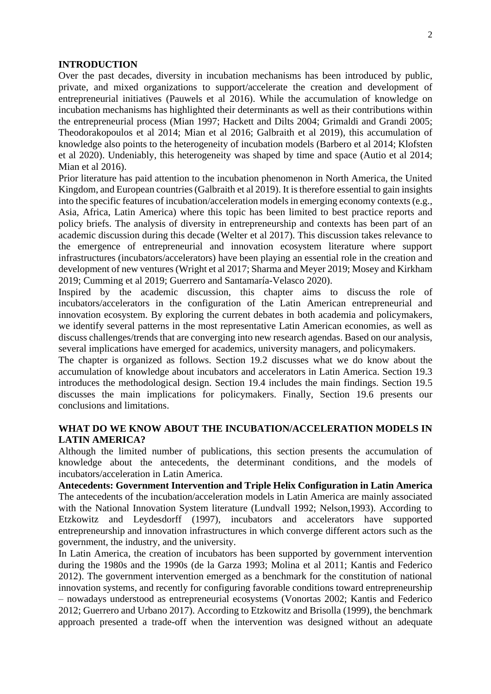#### **INTRODUCTION**

Over the past decades, diversity in incubation mechanisms has been introduced by public, private, and mixed organizations to support/accelerate the creation and development of entrepreneurial initiatives (Pauwels et al 2016). While the accumulation of knowledge on incubation mechanisms has highlighted their determinants as well as their contributions within the entrepreneurial process (Mian 1997; Hackett and Dilts 2004; Grimaldi and Grandi 2005; Theodorakopoulos et al 2014; Mian et al 2016; Galbraith et al 2019), this accumulation of knowledge also points to the heterogeneity of incubation models (Barbero et al 2014; Klofsten et al 2020). Undeniably, this heterogeneity was shaped by time and space (Autio et al 2014; Mian et al 2016).

Prior literature has paid attention to the incubation phenomenon in North America, the United Kingdom, and European countries (Galbraith et al 2019). It is therefore essential to gain insights into the specific features of incubation/acceleration models in emerging economy contexts (e.g., Asia, Africa, Latin America) where this topic has been limited to best practice reports and policy briefs. The analysis of diversity in entrepreneurship and contexts has been part of an academic discussion during this decade (Welter et al 2017). This discussion takes relevance to the emergence of entrepreneurial and innovation ecosystem literature where support infrastructures (incubators/accelerators) have been playing an essential role in the creation and development of new ventures (Wright et al 2017; Sharma and Meyer 2019; Mosey and Kirkham 2019; Cumming et al 2019; Guerrero and Santamaría-Velasco 2020).

Inspired by the academic discussion, this chapter aims to discuss the role of incubators/accelerators in the configuration of the Latin American entrepreneurial and innovation ecosystem. By exploring the current debates in both academia and policymakers, we identify several patterns in the most representative Latin American economies, as well as discuss challenges/trends that are converging into new research agendas. Based on our analysis, several implications have emerged for academics, university managers, and policymakers.

The chapter is organized as follows. Section 19.2 discusses what we do know about the accumulation of knowledge about incubators and accelerators in Latin America. Section 19.3 introduces the methodological design. Section 19.4 includes the main findings. Section 19.5 discusses the main implications for policymakers. Finally, Section 19.6 presents our conclusions and limitations.

## **WHAT DO WE KNOW ABOUT THE INCUBATION/ACCELERATION MODELS IN LATIN AMERICA?**

Although the limited number of publications, this section presents the accumulation of knowledge about the antecedents, the determinant conditions, and the models of incubators/acceleration in Latin America.

**Antecedents: Government Intervention and Triple Helix Configuration in Latin America** The antecedents of the incubation/acceleration models in Latin America are mainly associated with the National Innovation System literature (Lundvall 1992; Nelson,1993). According to Etzkowitz and Leydesdorff (1997), incubators and accelerators have supported entrepreneurship and innovation infrastructures in which converge different actors such as the government, the industry, and the university.

In Latin America, the creation of incubators has been supported by government intervention during the 1980s and the 1990s (de la Garza 1993; Molina et al 2011; Kantis and Federico 2012). The government intervention emerged as a benchmark for the constitution of national innovation systems, and recently for configuring favorable conditions toward entrepreneurship – nowadays understood as entrepreneurial ecosystems (Vonortas 2002; Kantis and Federico 2012; Guerrero and Urbano 2017). According to Etzkowitz and Brisolla (1999), the benchmark approach presented a trade-off when the intervention was designed without an adequate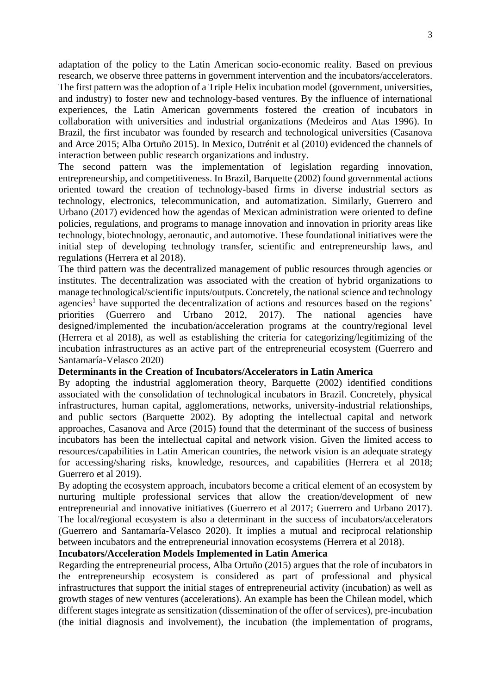adaptation of the policy to the Latin American socio-economic reality. Based on previous research, we observe three patterns in government intervention and the incubators/accelerators. The first pattern was the adoption of a Triple Helix incubation model (government, universities, and industry) to foster new and technology-based ventures. By the influence of international experiences, the Latin American governments fostered the creation of incubators in collaboration with universities and industrial organizations (Medeiros and Atas 1996). In Brazil, the first incubator was founded by research and technological universities (Casanova and Arce 2015; Alba Ortuño 2015). In Mexico, Dutrénit et al (2010) evidenced the channels of interaction between public research organizations and industry.

The second pattern was the implementation of legislation regarding innovation, entrepreneurship, and competitiveness. In Brazil, Barquette (2002) found governmental actions oriented toward the creation of technology-based firms in diverse industrial sectors as technology, electronics, telecommunication, and automatization. Similarly, Guerrero and Urbano (2017) evidenced how the agendas of Mexican administration were oriented to define policies, regulations, and programs to manage innovation and innovation in priority areas like technology, biotechnology, aeronautic, and automotive. These foundational initiatives were the initial step of developing technology transfer, scientific and entrepreneurship laws, and regulations (Herrera et al 2018).

The third pattern was the decentralized management of public resources through agencies or institutes. The decentralization was associated with the creation of hybrid organizations to manage technological/scientific inputs/outputs. Concretely, the national science and technology agencies<sup>1</sup> have supported the decentralization of actions and resources based on the regions' priorities (Guerrero and Urbano 2012, 2017). The national agencies have designed/implemented the incubation/acceleration programs at the country/regional level (Herrera et al 2018), as well as establishing the criteria for categorizing/legitimizing of the incubation infrastructures as an active part of the entrepreneurial ecosystem (Guerrero and Santamaría-Velasco 2020)

#### **Determinants in the Creation of Incubators/Accelerators in Latin America**

By adopting the industrial agglomeration theory, Barquette (2002) identified conditions associated with the consolidation of technological incubators in Brazil. Concretely, physical infrastructures, human capital, agglomerations, networks, university-industrial relationships, and public sectors (Barquette 2002). By adopting the intellectual capital and network approaches, Casanova and Arce (2015) found that the determinant of the success of business incubators has been the intellectual capital and network vision. Given the limited access to resources/capabilities in Latin American countries, the network vision is an adequate strategy for accessing/sharing risks, knowledge, resources, and capabilities (Herrera et al 2018; Guerrero et al 2019).

By adopting the ecosystem approach, incubators become a critical element of an ecosystem by nurturing multiple professional services that allow the creation/development of new entrepreneurial and innovative initiatives (Guerrero et al 2017; Guerrero and Urbano 2017). The local/regional ecosystem is also a determinant in the success of incubators/accelerators (Guerrero and Santamaría-Velasco 2020). It implies a mutual and reciprocal relationship between incubators and the entrepreneurial innovation ecosystems (Herrera et al 2018).

#### **Incubators/Acceleration Models Implemented in Latin America**

Regarding the entrepreneurial process, Alba Ortuño (2015) argues that the role of incubators in the entrepreneurship ecosystem is considered as part of professional and physical infrastructures that support the initial stages of entrepreneurial activity (incubation) as well as growth stages of new ventures (accelerations). An example has been the Chilean model, which different stages integrate as sensitization (dissemination of the offer of services), pre-incubation (the initial diagnosis and involvement), the incubation (the implementation of programs,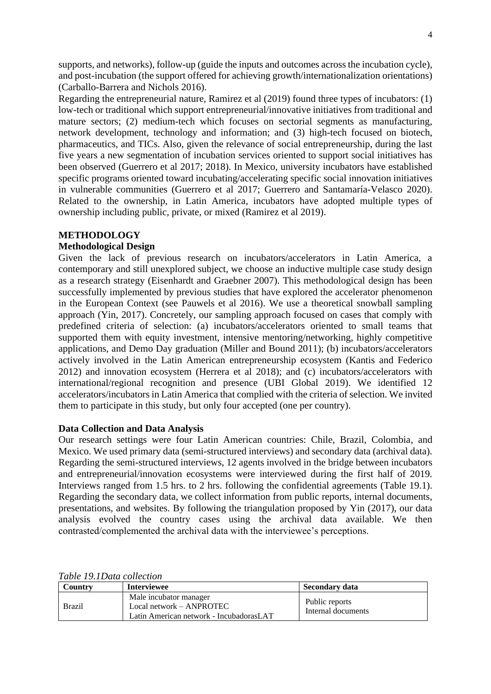supports, and networks), follow-up (guide the inputs and outcomes across the incubation cycle), and post-incubation (the support offered for achieving growth/internationalization orientations) (Carballo-Barrera and Nichols 2016).

Regarding the entrepreneurial nature, Ramirez et al (2019) found three types of incubators: (1) low-tech or traditional which support entrepreneurial/innovative initiatives from traditional and mature sectors; (2) medium-tech which focuses on sectorial segments as manufacturing, network development, technology and information; and (3) high-tech focused on biotech, pharmaceutics, and TICs. Also, given the relevance of social entrepreneurship, during the last five years a new segmentation of incubation services oriented to support social initiatives has been observed (Guerrero et al 2017; 2018). In Mexico, university incubators have established specific programs oriented toward incubating/accelerating specific social innovation initiatives in vulnerable communities (Guerrero et al 2017; Guerrero and Santamaría-Velasco 2020). Related to the ownership, in Latin America, incubators have adopted multiple types of ownership including public, private, or mixed (Ramirez et al 2019).

## **METHODOLOGY**

### **Methodological Design**

Given the lack of previous research on incubators/accelerators in Latin America, a contemporary and still unexplored subject, we choose an inductive multiple case study design as a research strategy (Eisenhardt and Graebner 2007). This methodological design has been successfully implemented by previous studies that have explored the accelerator phenomenon in the European Context (see Pauwels et al 2016). We use a theoretical snowball sampling approach (Yin, 2017). Concretely, our sampling approach focused on cases that comply with predefined criteria of selection: (a) incubators/accelerators oriented to small teams that supported them with equity investment, intensive mentoring/networking, highly competitive applications, and Demo Day graduation (Miller and Bound 2011); (b) incubators/accelerators actively involved in the Latin American entrepreneurship ecosystem (Kantis and Federico 2012) and innovation ecosystem (Herrera et al 2018); and (c) incubators/accelerators with international/regional recognition and presence (UBI Global 2019). We identified 12 accelerators/incubators in Latin America that complied with the criteria of selection. We invited them to participate in this study, but only four accepted (one per country).

#### **Data Collection and Data Analysis**

Our research settings were four Latin American countries: Chile, Brazil, Colombia, and Mexico. We used primary data (semi-structured interviews) and secondary data (archival data). Regarding the semi-structured interviews, 12 agents involved in the bridge between incubators and entrepreneurial/innovation ecosystems were interviewed during the first half of 2019. Interviews ranged from 1.5 hrs. to 2 hrs. following the confidential agreements (Table 19.1). Regarding the secondary data, we collect information from public reports, internal documents, presentations, and websites. By following the triangulation proposed by Yin (2017), our data analysis evolved the country cases using the archival data available. We then contrasted/complemented the archival data with the interviewee's perceptions.

| Countrv       | <b>Interviewee</b>                                                                              | Secondary data                       |
|---------------|-------------------------------------------------------------------------------------------------|--------------------------------------|
| <b>Brazil</b> | Male incubator manager<br>$Local$ network – ANPROTEC<br>Latin American network - IncubadorasLAT | Public reports<br>Internal documents |

#### *Table 19.1Data collection*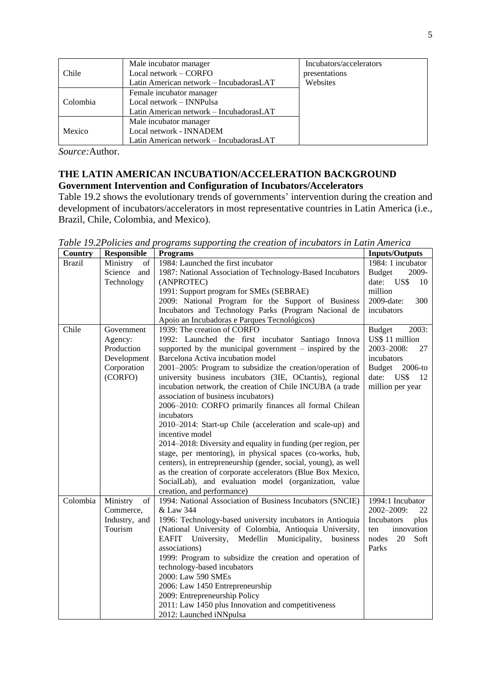|          | Male incubator manager                  | Incubators/accelerators |
|----------|-----------------------------------------|-------------------------|
| Chile    | Local network $-$ CORFO                 | presentations           |
|          | Latin American network – IncubadorasLAT | Websites                |
|          | Female incubator manager                |                         |
| Colombia | Local network – INNPulsa                |                         |
|          | Latin American network - IncubadorasLAT |                         |
|          | Male incubator manager                  |                         |
| Mexico   | Local network - INNADEM                 |                         |
|          | Latin American network - IncubadorasLAT |                         |

*Source:*Author.

# **THE LATIN AMERICAN INCUBATION/ACCELERATION BACKGROUND Government Intervention and Configuration of Incubators/Accelerators**

Table 19.2 shows the evolutionary trends of governments' intervention during the creation and development of incubators/accelerators in most representative countries in Latin America (i.e., Brazil, Chile, Colombia, and Mexico).

*Table 19.2Policies and programs supporting the creation of incubators in Latin America*

| Country       | <b>Responsible</b> | <b>Programs</b>                                                   | <b>Inputs/Outputs</b>    |
|---------------|--------------------|-------------------------------------------------------------------|--------------------------|
| <b>Brazil</b> | Ministry<br>of     | 1984: Launched the first incubator                                | 1984: 1 incubator        |
|               | Science<br>and     | 1987: National Association of Technology-Based Incubators         | 2009-<br><b>Budget</b>   |
|               | Technology         | (ANPROTEC)                                                        | date: US\$<br>10         |
|               |                    | 1991: Support program for SMEs (SEBRAE)                           | million                  |
|               |                    | 2009: National Program for the Support of Business                | 2009-date:<br>300        |
|               |                    | Incubators and Technology Parks (Program Nacional de              | incubators               |
|               |                    | Apoio an Incubadoras e Parques Tecnológicos)                      |                          |
| Chile         | Government         | 1939: The creation of CORFO                                       | 2003:<br><b>Budget</b>   |
|               | Agency:            | 1992: Launched the first incubator Santiago Innova                | US\$ 11 million          |
|               | Production         | supported by the municipal government $-$ inspired by the         | 2003-2008:<br>27         |
|               | Development        | Barcelona Activa incubation model                                 | incubators               |
|               | Corporation        | 2001–2005: Program to subsidize the creation/operation of         | <b>Budget</b><br>2006-to |
|               | (CORFO)            | university business incubators (3IE, OCtantis), regional          | US\$<br>date:<br>12      |
|               |                    | incubation network, the creation of Chile INCUBA (a trade         | million per year         |
|               |                    | association of business incubators)                               |                          |
|               |                    | 2006-2010: CORFO primarily finances all formal Chilean            |                          |
|               |                    | incubators                                                        |                          |
|               |                    | 2010–2014: Start-up Chile (acceleration and scale-up) and         |                          |
|               |                    | incentive model                                                   |                          |
|               |                    | 2014–2018: Diversity and equality in funding (per region, per     |                          |
|               |                    | stage, per mentoring), in physical spaces (co-works, hub,         |                          |
|               |                    | centers), in entrepreneurship (gender, social, young), as well    |                          |
|               |                    | as the creation of corporate accelerators (Blue Box Mexico,       |                          |
|               |                    | SocialLab), and evaluation model (organization, value             |                          |
|               |                    | creation, and performance)                                        |                          |
| Colombia      | Ministry<br>of     | 1994: National Association of Business Incubators (SNCIE)         | 1994:1 Incubator         |
|               | Commerce,          | & Law 344                                                         | 2002-2009:<br>22         |
|               | Industry, and      | 1996: Technology-based university incubators in Antioquia         | Incubators<br>plus       |
|               | Tourism            | (National University of Colombia, Antioquia University,           | innovation<br>ten        |
|               |                    | <b>EAFIT</b><br>University,<br>Medellin Municipality,<br>business | 20<br>Soft<br>nodes      |
|               |                    | associations)                                                     | Parks                    |
|               |                    | 1999: Program to subsidize the creation and operation of          |                          |
|               |                    | technology-based incubators                                       |                          |
|               |                    | 2000: Law 590 SMEs                                                |                          |
|               |                    | 2006: Law 1450 Entrepreneurship                                   |                          |
|               |                    | 2009: Entrepreneurship Policy                                     |                          |
|               |                    | 2011: Law 1450 plus Innovation and competitiveness                |                          |
|               |                    | 2012: Launched iNNpulsa                                           |                          |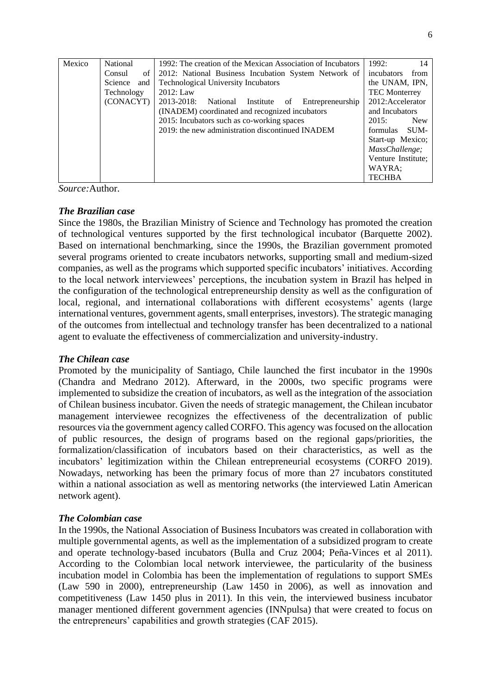| Mexico | National       | 1992: The creation of the Mexican Association of Incubators | 1992:<br>14          |
|--------|----------------|-------------------------------------------------------------|----------------------|
|        | of<br>Consul   | 2012: National Business Incubation System Network of        | incubators<br>from   |
|        | Science<br>and | <b>Technological University Incubators</b>                  | the UNAM, IPN,       |
|        | Technology     | 2012: Law                                                   | <b>TEC Monterrey</b> |
|        | (CONACYT)      | 2013-2018:<br>National Institute<br>Entrepreneurship<br>of  | 2012: Accelerator    |
|        |                | (INADEM) coordinated and recognized incubators              | and Incubators       |
|        |                | 2015: Incubators such as co-working spaces                  | 2015:<br><b>New</b>  |
|        |                | 2019: the new administration discontinued INADEM            | SUM-<br>formulas     |
|        |                |                                                             | Start-up Mexico;     |
|        |                |                                                             | MassChallenge;       |
|        |                |                                                             | Venture Institute;   |
|        |                |                                                             | WAYRA;               |
|        |                |                                                             | <b>TECHBA</b>        |

*Source:*Author.

## *The Brazilian case*

Since the 1980s, the Brazilian Ministry of Science and Technology has promoted the creation of technological ventures supported by the first technological incubator (Barquette 2002). Based on international benchmarking, since the 1990s, the Brazilian government promoted several programs oriented to create incubators networks, supporting small and medium-sized companies, as well as the programs which supported specific incubators' initiatives. According to the local network interviewees' perceptions, the incubation system in Brazil has helped in the configuration of the technological entrepreneurship density as well as the configuration of local, regional, and international collaborations with different ecosystems' agents (large international ventures, government agents, small enterprises, investors). The strategic managing of the outcomes from intellectual and technology transfer has been decentralized to a national agent to evaluate the effectiveness of commercialization and university-industry.

## *The Chilean case*

Promoted by the municipality of Santiago, Chile launched the first incubator in the 1990s (Chandra and Medrano 2012). Afterward, in the 2000s, two specific programs were implemented to subsidize the creation of incubators, as well as the integration of the association of Chilean business incubator. Given the needs of strategic management, the Chilean incubator management interviewee recognizes the effectiveness of the decentralization of public resources via the government agency called CORFO. This agency was focused on the allocation of public resources, the design of programs based on the regional gaps/priorities, the formalization/classification of incubators based on their characteristics, as well as the incubators' legitimization within the Chilean entrepreneurial ecosystems (CORFO 2019). Nowadays, networking has been the primary focus of more than 27 incubators constituted within a national association as well as mentoring networks (the interviewed Latin American network agent).

## *The Colombian case*

In the 1990s, the National Association of Business Incubators was created in collaboration with multiple governmental agents, as well as the implementation of a subsidized program to create and operate technology-based incubators (Bulla and Cruz 2004; Peña-Vinces et al 2011). According to the Colombian local network interviewee, the particularity of the business incubation model in Colombia has been the implementation of regulations to support SMEs (Law 590 in 2000), entrepreneurship (Law 1450 in 2006), as well as innovation and competitiveness (Law 1450 plus in 2011). In this vein, the interviewed business incubator manager mentioned different government agencies (INNpulsa) that were created to focus on the entrepreneurs' capabilities and growth strategies (CAF 2015).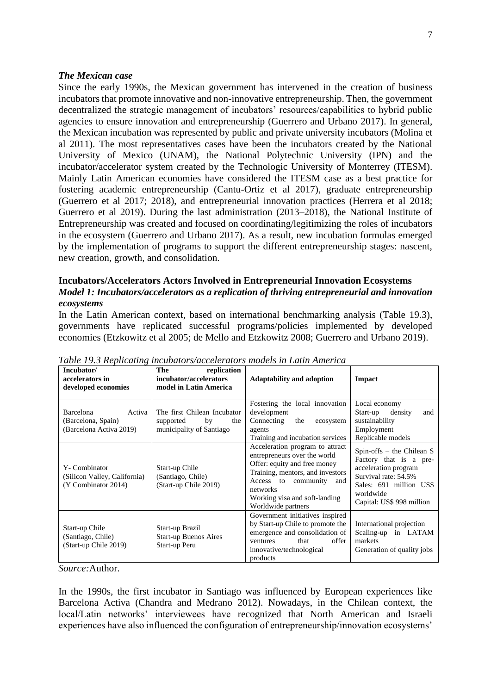#### *The Mexican case*

Since the early 1990s, the Mexican government has intervened in the creation of business incubators that promote innovative and non-innovative entrepreneurship. Then, the government decentralized the strategic management of incubators' resources/capabilities to hybrid public agencies to ensure innovation and entrepreneurship (Guerrero and Urbano 2017). In general, the Mexican incubation was represented by public and private university incubators (Molina et al 2011). The most representatives cases have been the incubators created by the National University of Mexico (UNAM), the National Polytechnic University (IPN) and the incubator/accelerator system created by the Technologic University of Monterrey (ITESM). Mainly Latin American economies have considered the ITESM case as a best practice for fostering academic entrepreneurship (Cantu-Ortiz et al 2017), graduate entrepreneurship (Guerrero et al 2017; 2018), and entrepreneurial innovation practices (Herrera et al 2018; Guerrero et al 2019). During the last administration (2013–2018), the National Institute of Entrepreneurship was created and focused on coordinating/legitimizing the roles of incubators in the ecosystem (Guerrero and Urbano 2017). As a result, new incubation formulas emerged by the implementation of programs to support the different entrepreneurship stages: nascent, new creation, growth, and consolidation.

# **Incubators/Accelerators Actors Involved in Entrepreneurial Innovation Ecosystems** *Model 1: Incubators/accelerators as a replication of thriving entrepreneurial and innovation ecosystems*

In the Latin American context, based on international benchmarking analysis (Table 19.3), governments have replicated successful programs/policies implemented by developed economies (Etzkowitz et al 2005; de Mello and Etzkowitz 2008; Guerrero and Urbano 2019).

| Incubator/<br>accelerators in<br>developed economies                 | The<br>replication<br>incubator/accelerators<br>model in Latin America            | <b>Adaptability and adoption</b>                                                                                                                                                                                                     | <b>Impact</b>                                                                                                                                                            |
|----------------------------------------------------------------------|-----------------------------------------------------------------------------------|--------------------------------------------------------------------------------------------------------------------------------------------------------------------------------------------------------------------------------------|--------------------------------------------------------------------------------------------------------------------------------------------------------------------------|
| Barcelona<br>Activa<br>(Barcelona, Spain)<br>(Barcelona Activa 2019) | The first Chilean Incubator<br>supported<br>by<br>the<br>municipality of Santiago | Fostering the local innovation<br>development<br>Connecting<br>the<br>ecosystem<br>agents<br>Training and incubation services                                                                                                        | Local economy<br>density<br>Start-up<br>and<br>sustainability<br>Employment<br>Replicable models                                                                         |
| Y-Combinator<br>(Silicon Valley, California)<br>(Y Combinator 2014)  | Start-up Chile<br>(Santiago, Chile)<br>(Start-up Chile 2019)                      | Acceleration program to attract<br>entrepreneurs over the world<br>Offer: equity and free money<br>Training, mentors, and investors<br>Access to community<br>and<br>networks<br>Working visa and soft-landing<br>Worldwide partners | Spin-offs - the Chilean S<br>Factory that is a pre-<br>acceleration program<br>Survival rate: 54.5%<br>Sales: 691 million US\$<br>worldwide<br>Capital: US\$ 998 million |
| Start-up Chile<br>(Santiago, Chile)<br>(Start-up Chile 2019)         | Start-up Brazil<br><b>Start-up Buenos Aires</b><br>Start-up Peru                  | Government initiatives inspired<br>by Start-up Chile to promote the<br>emergence and consolidation of<br>offer<br>that<br>ventures<br>innovative/technological<br>products                                                           | International projection<br>Scaling-up in LATAM<br>markets<br>Generation of quality jobs                                                                                 |

*Table 19.3 Replicating incubators/accelerators models in Latin America*

*Source:*Author.

In the 1990s, the first incubator in Santiago was influenced by European experiences like Barcelona Activa (Chandra and Medrano 2012). Nowadays, in the Chilean context, the local/Latin networks' interviewees have recognized that North American and Israeli experiences have also influenced the configuration of entrepreneurship/innovation ecosystems'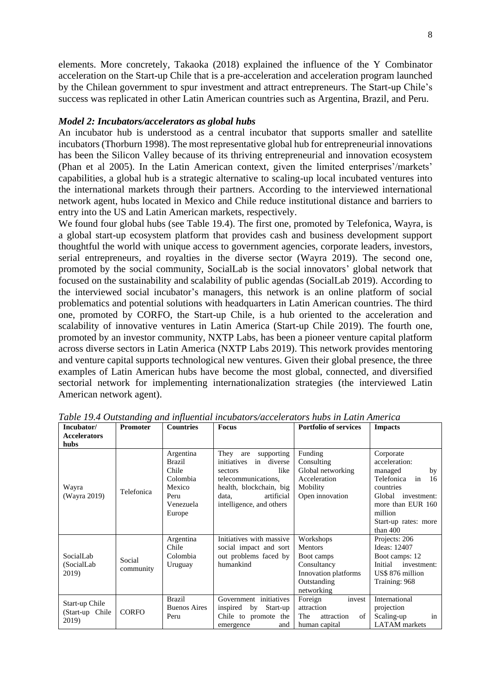elements. More concretely, Takaoka (2018) explained the influence of the Y Combinator acceleration on the Start-up Chile that is a pre-acceleration and acceleration program launched by the Chilean government to spur investment and attract entrepreneurs. The Start-up Chile's success was replicated in other Latin American countries such as Argentina, Brazil, and Peru.

#### *Model 2: Incubators/accelerators as global hubs*

An incubator hub is understood as a central incubator that supports smaller and satellite incubators (Thorburn 1998). The most representative global hub for entrepreneurial innovations has been the Silicon Valley because of its thriving entrepreneurial and innovation ecosystem (Phan et al 2005). In the Latin American context, given the limited enterprises'/markets' capabilities, a global hub is a strategic alternative to scaling-up local incubated ventures into the international markets through their partners. According to the interviewed international network agent, hubs located in Mexico and Chile reduce institutional distance and barriers to entry into the US and Latin American markets, respectively.

We found four global hubs (see Table 19.4). The first one, promoted by Telefonica, Wayra, is a global start-up ecosystem platform that provides cash and business development support thoughtful the world with unique access to government agencies, corporate leaders, investors, serial entrepreneurs, and royalties in the diverse sector (Wayra 2019). The second one, promoted by the social community, SocialLab is the social innovators' global network that focused on the sustainability and scalability of public agendas (SocialLab 2019). According to the interviewed social incubator's managers, this network is an online platform of social problematics and potential solutions with headquarters in Latin American countries. The third one, promoted by CORFO, the Start-up Chile, is a hub oriented to the acceleration and scalability of innovative ventures in Latin America (Start-up Chile 2019). The fourth one, promoted by an investor community, NXTP Labs, has been a pioneer venture capital platform across diverse sectors in Latin America (NXTP Labs 2019). This network provides mentoring and venture capital supports technological new ventures. Given their global presence, the three examples of Latin American hubs have become the most global, connected, and diversified sectorial network for implementing internationalization strategies (the interviewed Latin American network agent).

| Incubator/                                 | <b>Promoter</b>     | <b>Countries</b>                                                                         | таже 19.4 Отманиту ини триенниг теммионмассистиют тибл т Ейнн типетей<br><b>Focus</b>                                                                                    | <b>Portfolio of services</b>                                                                                  | <b>Impacts</b>                                                                                                                                                                    |
|--------------------------------------------|---------------------|------------------------------------------------------------------------------------------|--------------------------------------------------------------------------------------------------------------------------------------------------------------------------|---------------------------------------------------------------------------------------------------------------|-----------------------------------------------------------------------------------------------------------------------------------------------------------------------------------|
| <b>Accelerators</b><br>hubs                |                     |                                                                                          |                                                                                                                                                                          |                                                                                                               |                                                                                                                                                                                   |
| Wayra<br>(Wayra 2019)                      | Telefonica          | Argentina<br><b>Brazil</b><br>Chile<br>Colombia<br>Mexico<br>Peru<br>Venezuela<br>Europe | They are<br>supporting<br>initiatives in diverse<br>like<br>sectors<br>telecommunications,<br>health, blockchain, big<br>artificial<br>data,<br>intelligence, and others | Funding<br>Consulting<br>Global networking<br>Acceleration<br>Mobility<br>Open innovation                     | Corporate<br>acceleration:<br>managed<br>by<br>Telefonica<br>in<br>16<br>countries<br>investment:<br>Global<br>more than EUR 160<br>million<br>Start-up rates: more<br>than $400$ |
| SocialLab<br>(SocialLab)<br>2019)          | Social<br>community | Argentina<br>Chile<br>Colombia<br>Uruguay                                                | Initiatives with massive<br>social impact and sort<br>out problems faced by<br>humankind                                                                                 | Workshops<br><b>Mentors</b><br>Boot camps<br>Consultancy<br>Innovation platforms<br>Outstanding<br>networking | Projects: 206<br>Ideas: 12407<br>Boot camps: 12<br>Initial<br>investment:<br>US\$ 876 million<br>Training: 968                                                                    |
| Start-up Chile<br>(Start-up Chile<br>2019) | <b>CORFO</b>        | <b>Brazil</b><br><b>Buenos Aires</b><br>Peru                                             | Government initiatives<br>inspired<br>Start-up<br>by<br>Chile to promote the<br>and<br>emergence                                                                         | invest<br>Foreign<br>attraction<br>of<br><b>The</b><br>attraction<br>human capital                            | International<br>projection<br>Scaling-up<br>in<br><b>LATAM</b> markets                                                                                                           |

*Table 19.4 Outstanding and influential incubators/accelerators hubs in Latin America*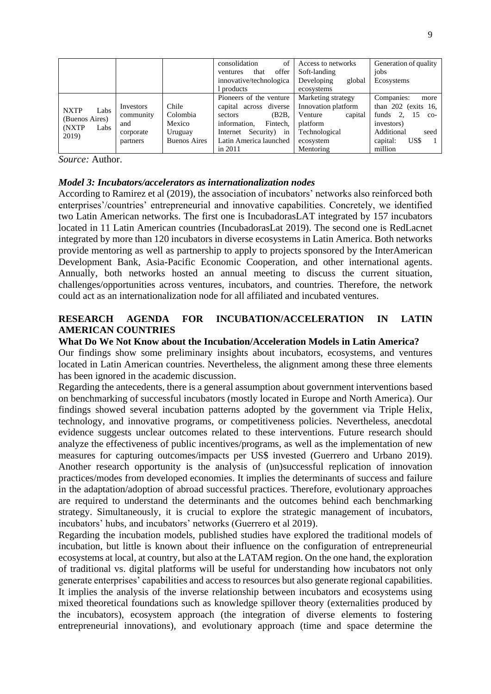|                                                                  |           |                     | consolidation<br>of<br>offer<br>that<br>ventures<br>innovative/technologica | Access to networks<br>Soft-landing<br>Developing<br>global | Generation of quality<br>jobs<br>Ecosystems |
|------------------------------------------------------------------|-----------|---------------------|-----------------------------------------------------------------------------|------------------------------------------------------------|---------------------------------------------|
|                                                                  |           |                     | products                                                                    | ecosystems                                                 |                                             |
|                                                                  |           |                     | Pioneers of the venture                                                     | Marketing strategy                                         | Companies:<br>more                          |
| <b>NXTP</b><br>Labs<br>(Buenos Aires)<br>(NXTP)<br>Labs<br>2019) | Investors | Chile               | capital across diverse                                                      | Innovation platform                                        | than $202$ (exits 16,                       |
|                                                                  | community | Colombia            | (B2B,<br>sectors                                                            | capital<br>Venture                                         | funds 2.<br>15<br>$CO-$                     |
|                                                                  | and       | Mexico              | Fintech.<br>information.                                                    | platform                                                   | investors)                                  |
|                                                                  | corporate | Uruguay             | Security)<br>Internet<br>in                                                 | Technological                                              | Additional<br>seed                          |
|                                                                  | partners  | <b>Buenos Aires</b> | Latin America launched                                                      | ecosystem                                                  | US\$<br>capital:                            |
|                                                                  |           |                     | in $2011$                                                                   | Mentoring                                                  | million                                     |

*Source:* Author.

## *Model 3: Incubators/accelerators as internationalization nodes*

According to Ramirez et al (2019), the association of incubators' networks also reinforced both enterprises'/countries' entrepreneurial and innovative capabilities. Concretely, we identified two Latin American networks. The first one is IncubadorasLAT integrated by 157 incubators located in 11 Latin American countries (IncubadorasLat 2019). The second one is RedLacnet integrated by more than 120 incubators in diverse ecosystems in Latin America. Both networks provide mentoring as well as partnership to apply to projects sponsored by the InterAmerican Development Bank, Asia-Pacific Economic Cooperation, and other international agents. Annually, both networks hosted an annual meeting to discuss the current situation, challenges/opportunities across ventures, incubators, and countries. Therefore, the network could act as an internationalization node for all affiliated and incubated ventures.

# **RESEARCH AGENDA FOR INCUBATION/ACCELERATION IN LATIN AMERICAN COUNTRIES**

# **What Do We Not Know about the Incubation/Acceleration Models in Latin America?**

Our findings show some preliminary insights about incubators, ecosystems, and ventures located in Latin American countries. Nevertheless, the alignment among these three elements has been ignored in the academic discussion.

Regarding the antecedents, there is a general assumption about government interventions based on benchmarking of successful incubators (mostly located in Europe and North America). Our findings showed several incubation patterns adopted by the government via Triple Helix, technology, and innovative programs, or competitiveness policies. Nevertheless, anecdotal evidence suggests unclear outcomes related to these interventions. Future research should analyze the effectiveness of public incentives/programs, as well as the implementation of new measures for capturing outcomes/impacts per US\$ invested (Guerrero and Urbano 2019). Another research opportunity is the analysis of (un)successful replication of innovation practices/modes from developed economies. It implies the determinants of success and failure in the adaptation/adoption of abroad successful practices. Therefore, evolutionary approaches are required to understand the determinants and the outcomes behind each benchmarking strategy. Simultaneously, it is crucial to explore the strategic management of incubators, incubators' hubs, and incubators' networks (Guerrero et al 2019).

Regarding the incubation models, published studies have explored the traditional models of incubation, but little is known about their influence on the configuration of entrepreneurial ecosystems at local, at country, but also at the LATAM region. On the one hand, the exploration of traditional vs. digital platforms will be useful for understanding how incubators not only generate enterprises' capabilities and access to resources but also generate regional capabilities. It implies the analysis of the inverse relationship between incubators and ecosystems using mixed theoretical foundations such as knowledge spillover theory (externalities produced by the incubators), ecosystem approach (the integration of diverse elements to fostering entrepreneurial innovations), and evolutionary approach (time and space determine the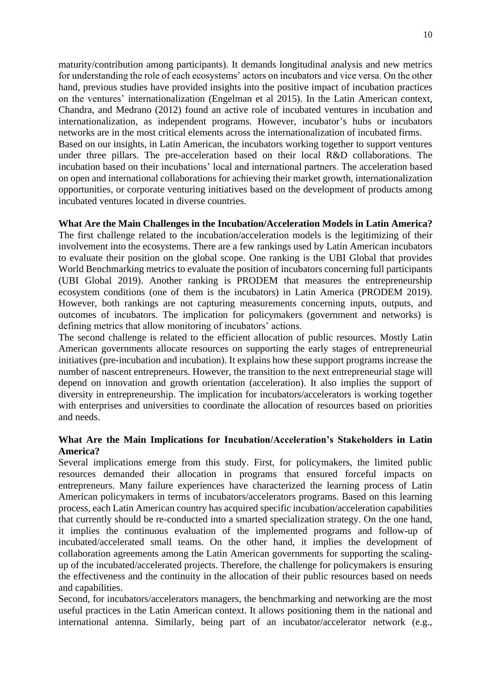maturity/contribution among participants). It demands longitudinal analysis and new metrics for understanding the role of each ecosystems' actors on incubators and vice versa. On the other hand, previous studies have provided insights into the positive impact of incubation practices on the ventures' internationalization (Engelman et al 2015). In the Latin American context, Chandra, and Medrano (2012) found an active role of incubated ventures in incubation and internationalization, as independent programs. However, incubator's hubs or incubators networks are in the most critical elements across the internationalization of incubated firms. Based on our insights, in Latin American, the incubators working together to support ventures under three pillars. The pre-acceleration based on their local R&D collaborations. The incubation based on their incubations' local and international partners. The acceleration based on open and international collaborations for achieving their market growth, internationalization opportunities, or corporate venturing initiatives based on the development of products among incubated ventures located in diverse countries.

### **What Are the Main Challenges in the Incubation/Acceleration Models in Latin America?**

The first challenge related to the incubation/acceleration models is the legitimizing of their involvement into the ecosystems. There are a few rankings used by Latin American incubators to evaluate their position on the global scope. One ranking is the UBI Global that provides World Benchmarking metrics to evaluate the position of incubators concerning full participants (UBI Global 2019). Another ranking is PRODEM that measures the entrepreneurship ecosystem conditions (one of them is the incubators) in Latin America (PRODEM 2019). However, both rankings are not capturing measurements concerning inputs, outputs, and outcomes of incubators. The implication for policymakers (government and networks) is defining metrics that allow monitoring of incubators' actions.

The second challenge is related to the efficient allocation of public resources. Mostly Latin American governments allocate resources on supporting the early stages of entrepreneurial initiatives (pre-incubation and incubation). It explains how these support programs increase the number of nascent entrepreneurs. However, the transition to the next entrepreneurial stage will depend on innovation and growth orientation (acceleration). It also implies the support of diversity in entrepreneurship. The implication for incubators/accelerators is working together with enterprises and universities to coordinate the allocation of resources based on priorities and needs.

## **What Are the Main Implications for Incubation/Acceleration's Stakeholders in Latin America?**

Several implications emerge from this study. First, for policymakers, the limited public resources demanded their allocation in programs that ensured forceful impacts on entrepreneurs. Many failure experiences have characterized the learning process of Latin American policymakers in terms of incubators/accelerators programs. Based on this learning process, each Latin American country has acquired specific incubation/acceleration capabilities that currently should be re-conducted into a smarted specialization strategy. On the one hand, it implies the continuous evaluation of the implemented programs and follow-up of incubated/accelerated small teams. On the other hand, it implies the development of collaboration agreements among the Latin American governments for supporting the scalingup of the incubated/accelerated projects. Therefore, the challenge for policymakers is ensuring the effectiveness and the continuity in the allocation of their public resources based on needs and capabilities.

Second, for incubators/accelerators managers, the benchmarking and networking are the most useful practices in the Latin American context. It allows positioning them in the national and international antenna. Similarly, being part of an incubator/accelerator network (e.g.,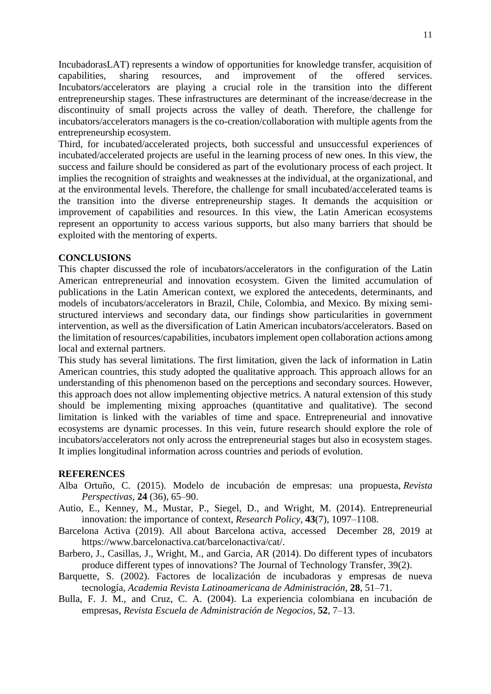IncubadorasLAT) represents a window of opportunities for knowledge transfer, acquisition of capabilities, sharing resources, and improvement of the offered services. Incubators/accelerators are playing a crucial role in the transition into the different entrepreneurship stages. These infrastructures are determinant of the increase/decrease in the discontinuity of small projects across the valley of death. Therefore, the challenge for incubators/accelerators managers is the co-creation/collaboration with multiple agents from the entrepreneurship ecosystem.

Third, for incubated/accelerated projects, both successful and unsuccessful experiences of incubated/accelerated projects are useful in the learning process of new ones. In this view, the success and failure should be considered as part of the evolutionary process of each project. It implies the recognition of straights and weaknesses at the individual, at the organizational, and at the environmental levels. Therefore, the challenge for small incubated/accelerated teams is the transition into the diverse entrepreneurship stages. It demands the acquisition or improvement of capabilities and resources. In this view, the Latin American ecosystems represent an opportunity to access various supports, but also many barriers that should be exploited with the mentoring of experts.

## **CONCLUSIONS**

This chapter discussed the role of incubators/accelerators in the configuration of the Latin American entrepreneurial and innovation ecosystem. Given the limited accumulation of publications in the Latin American context, we explored the antecedents, determinants, and models of incubators/accelerators in Brazil, Chile, Colombia, and Mexico. By mixing semistructured interviews and secondary data, our findings show particularities in government intervention, as well as the diversification of Latin American incubators/accelerators. Based on the limitation of resources/capabilities, incubators implement open collaboration actions among local and external partners.

This study has several limitations. The first limitation, given the lack of information in Latin American countries, this study adopted the qualitative approach. This approach allows for an understanding of this phenomenon based on the perceptions and secondary sources. However, this approach does not allow implementing objective metrics. A natural extension of this study should be implementing mixing approaches (quantitative and qualitative). The second limitation is linked with the variables of time and space. Entrepreneurial and innovative ecosystems are dynamic processes. In this vein, future research should explore the role of incubators/accelerators not only across the entrepreneurial stages but also in ecosystem stages. It implies longitudinal information across countries and periods of evolution.

#### **REFERENCES**

- Alba Ortuño, C. (2015). Modelo de incubación de empresas: una propuesta, *Revista Perspectivas*, **24** (36), 65–90.
- Autio, E., Kenney, M., Mustar, P., Siegel, D., and Wright, M. (2014). Entrepreneurial innovation: the importance of context, *Research Policy*, **43**(7), 1097–1108.
- Barcelona Activa (2019). All about Barcelona activa, accessed December 28, 2019 at https://www.barcelonactiva.cat/barcelonactiva/cat/.
- Barbero, J., Casillas, J., Wright, M., and Garcia, AR (2014). Do different types of incubators produce different types of innovations? The Journal of Technology Transfer, 39(2).
- Barquette, S. (2002). Factores de localización de incubadoras y empresas de nueva tecnología, *Academia Revista Latinoamericana de Administración*, **28**, 51–71.
- Bulla, F. J. M., and Cruz, C. A. (2004). La experiencia colombiana en incubación de empresas, *Revista Escuela de Administración de Negocios*, **52**, 7–13.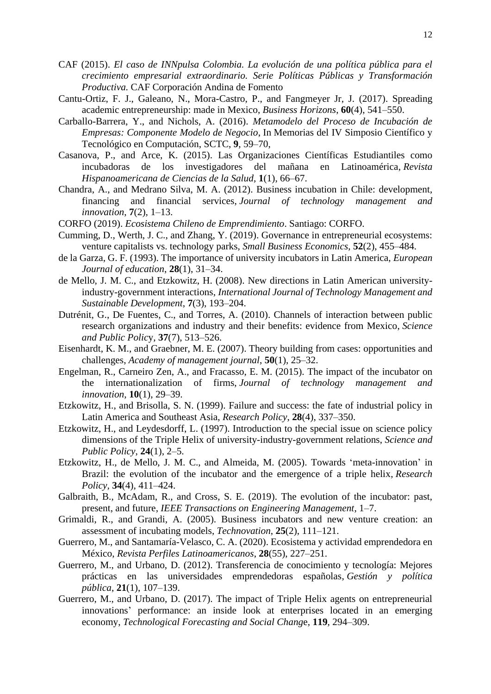- CAF (2015). *El caso de INNpulsa Colombia. La evolución de una política pública para el crecimiento empresarial extraordinario. Serie Políticas Públicas y Transformación Productiva.* CAF Corporación Andina de Fomento
- Cantu-Ortiz, F. J., Galeano, N., Mora-Castro, P., and Fangmeyer Jr, J. (2017). Spreading academic entrepreneurship: made in Mexico, *Business Horizons*, **60**(4), 541–550.
- Carballo-Barrera, Y., and Nichols, A. (2016). *Metamodelo del Proceso de Incubación de Empresas: Componente Modelo de Negocio*, In Memorias del IV Simposio Científico y Tecnológico en Computación, SCTC, **9**, 59–70,
- Casanova, P., and Arce, K. (2015). Las Organizaciones Científicas Estudiantiles como incubadoras de los investigadores del mañana en Latinoamérica, *Revista Hispanoamericana de Ciencias de la Salud*, **1**(1), 66–67.
- Chandra, A., and Medrano Silva, M. A. (2012). Business incubation in Chile: development, financing and financial services, *Journal of technology management and innovation*, **7**(2), 1–13.
- CORFO (2019). *Ecosistema Chileno de Emprendimiento*. Santiago: CORFO.
- Cumming, D., Werth, J. C., and Zhang, Y. (2019). Governance in entrepreneurial ecosystems: venture capitalists vs. technology parks, *Small Business Economics*, **52**(2), 455–484.
- de la Garza, G. F. (1993). The importance of university incubators in Latin America, *European Journal of education*, **28**(1), 31–34.
- de Mello, J. M. C., and Etzkowitz, H. (2008). New directions in Latin American universityindustry-government interactions, *International Journal of Technology Management and Sustainable Development*, **7**(3), 193–204.
- Dutrénit, G., De Fuentes, C., and Torres, A. (2010). Channels of interaction between public research organizations and industry and their benefits: evidence from Mexico, *Science and Public Polic*y, **37**(7), 513–526.
- Eisenhardt, K. M., and Graebner, M. E. (2007). Theory building from cases: opportunities and challenges, *Academy of management journal*, **50**(1), 25–32.
- Engelman, R., Carneiro Zen, A., and Fracasso, E. M. (2015). The impact of the incubator on the internationalization of firms, *Journal of technology management and innovation*, **10**(1), 29–39.
- Etzkowitz, H., and Brisolla, S. N. (1999). Failure and success: the fate of industrial policy in Latin America and Southeast Asia, *Research Policy*, **28**(4), 337–350.
- Etzkowitz, H., and Leydesdorff, L. (1997). Introduction to the special issue on science policy dimensions of the Triple Helix of university-industry-government relations, *Science and Public Policy*, **24**(1), 2–5.
- Etzkowitz, H., de Mello, J. M. C., and Almeida, M. (2005). Towards 'meta-innovation' in Brazil: the evolution of the incubator and the emergence of a triple helix, *Research Policy,* **34**(4), 411–424.
- Galbraith, B., McAdam, R., and Cross, S. E. (2019). The evolution of the incubator: past, present, and future, *IEEE Transactions on Engineering Management*, 1–7.
- Grimaldi, R., and Grandi, A. (2005). Business incubators and new venture creation: an assessment of incubating models, *Technovation*, **25**(2), 111–121.
- Guerrero, M., and Santamaría-Velasco, C. A. (2020). Ecosistema y actividad emprendedora en México, *Revista Perfiles Latinoamericanos*, **28**(55), 227–251.
- Guerrero, M., and Urbano, D. (2012). Transferencia de conocimiento y tecnología: Mejores prácticas en las universidades emprendedoras españolas, *Gestión y política pública*, **21**(1), 107–139.
- Guerrero, M., and Urbano, D. (2017). The impact of Triple Helix agents on entrepreneurial innovations' performance: an inside look at enterprises located in an emerging economy, *Technological Forecasting and Social Chang*e, **119**, 294–309.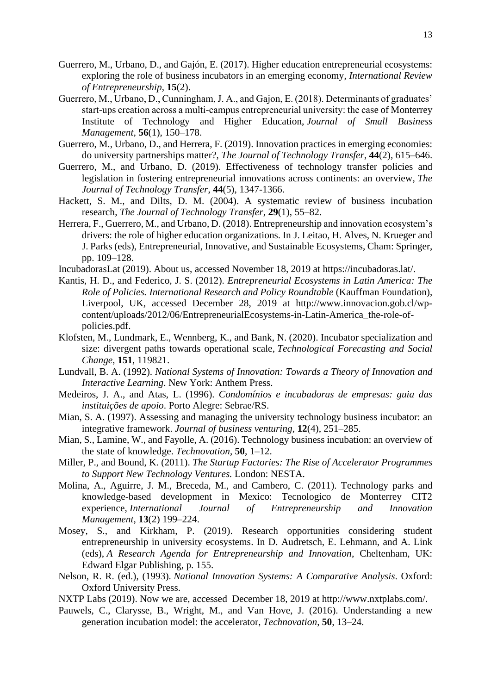- Guerrero, M., Urbano, D., and Gajón, E. (2017). Higher education entrepreneurial ecosystems: exploring the role of business incubators in an emerging economy, *International Review of Entrepreneurship*, **15**(2).
- Guerrero, M., Urbano, D., Cunningham, J. A., and Gajon, E. (2018). Determinants of graduates' start-ups creation across a multi-campus entrepreneurial university: the case of Monterrey Institute of Technology and Higher Education, *Journal of Small Business Management,* **56**(1), 150–178.
- Guerrero, M., Urbano, D., and Herrera, F. (2019). Innovation practices in emerging economies: do university partnerships matter?, *The Journal of Technology Transfer*, **44**(2), 615–646.
- Guerrero, M., and Urbano, D. (2019). Effectiveness of technology transfer policies and legislation in fostering entrepreneurial innovations across continents: an overview, *The Journal of Technology Transfer*, **44**(5), 1347-1366.
- Hackett, S. M., and Dilts, D. M. (2004). A systematic review of business incubation research, *The Journal of Technology Transfer*, **29**(1), 55–82.
- Herrera, F., Guerrero, M., and Urbano, D. (2018). Entrepreneurship and innovation ecosystem's drivers: the role of higher education organizations. In J. Leitao, H. Alves, N. Krueger and J. Parks (eds), Entrepreneurial, Innovative, and Sustainable Ecosystems, Cham: Springer, pp. 109–128.
- IncubadorasLat (2019). About us, accessed November 18, 2019 at https://incubadoras.lat/.
- Kantis, H. D., and Federico, J. S. (2012). *Entrepreneurial Ecosystems in Latin America: The Role of Policies. International Research and Policy Roundtable* (Kauffman Foundation), Liverpool, UK, accessed December 28, 2019 at http://www.innovacion.gob.cl/wpcontent/uploads/2012/06/EntrepreneurialEcosystems-in-Latin-America\_the-role-ofpolicies.pdf.
- Klofsten, M., Lundmark, E., Wennberg, K., and Bank, N. (2020). Incubator specialization and size: divergent paths towards operational scale, *Technological Forecasting and Social Change,* **151**, 119821.
- Lundvall, B. A. (1992). *National Systems of Innovation: Towards a Theory of Innovation and Interactive Learning*. New York: Anthem Press.
- Medeiros, J. A., and Atas, L. (1996). *Condomínios e incubadoras de empresas: guia das instituições de apoio*. Porto Alegre: Sebrae/RS.
- Mian, S. A. (1997). Assessing and managing the university technology business incubator: an integrative framework. *Journal of business venturing*, **12**(4), 251–285.
- Mian, S., Lamine, W., and Fayolle, A. (2016). Technology business incubation: an overview of the state of knowledge. *Technovation*, **50**, 1–12.
- Miller, P., and Bound, K. (2011). *The Startup Factories: The Rise of Accelerator Programmes to Support New Technology Ventures.* London: NESTA.
- Molina, A., Aguirre, J. M., Breceda, M., and Cambero, C. (2011). Technology parks and knowledge-based development in Mexico: Tecnologico de Monterrey CIT2 experience, *International Journal of Entrepreneurship and Innovation Management*, **13**(2) 199–224.
- Mosey, S., and Kirkham, P. (2019). Research opportunities considering student entrepreneurship in university ecosystems. In D. Audretsch, E. Lehmann, and A. Link (eds), *A Research Agenda for Entrepreneurship and Innovation*, Cheltenham, UK: Edward Elgar Publishing, p. 155.
- Nelson, R. R. (ed.), (1993). *National Innovation Systems: A Comparative Analysis*. Oxford: Oxford University Press.
- NXTP Labs (2019). Now we are, accessed December 18, 2019 at http://www.nxtplabs.com/.
- Pauwels, C., Clarysse, B., Wright, M., and Van Hove, J. (2016). Understanding a new generation incubation model: the accelerator, *Technovation*, **50**, 13–24.